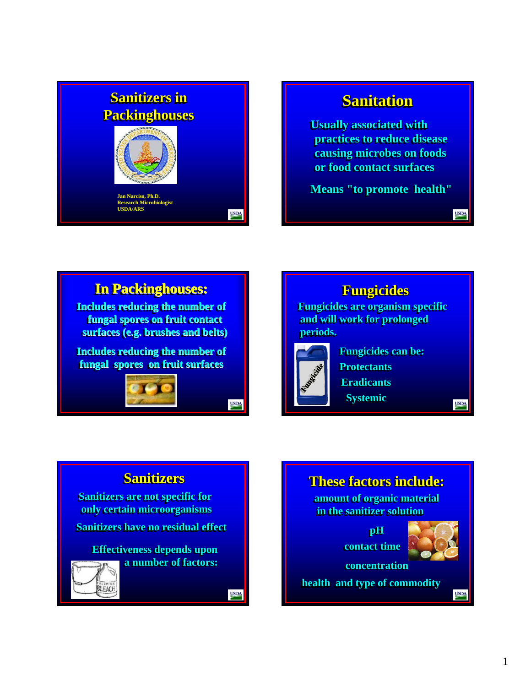

# **Sanitation Sanitation Sanitation**

**Usually associated with practices to reduce disease practices to reduce disease practices to reduce disease causing microbes on foods causing microbes on foods causing microbes on foods or food contact surfaces or food contact surfaces or food contact surfaces**

**Means "to promote health"** 

**In Packinghouses: In Packinghouses: In Packinghouses:**

**Includes reducing the number of fungal spores on fruit contact fungal spores on fruit contact fruit contact surfaces (e.g. brushes and belts) surfaces (e.g. br surfaces (e.g. brushes and belts) ushes and belts)**

**Includes reducing the number of Includes reducing the number of Includes reducing the number of fungal spores on fruit surfaces fungal spores on fruit surfaces fungal spores on fruit surfaces**

**USDA** 

**USDA** 



**USDA** 

**USDA** 

## **Sanitizers Sanitizers Sanitizers**

**Sanitizers are not specific for Sanitizers are not specific for are not specific for only certain microorganisms only certain microorganisms only certain microorganisms**

**Sanitizers have no residual effect** 

**Effectiveness depends upon a number of factors: a number of factors: a number of factors:** 

EALEACH

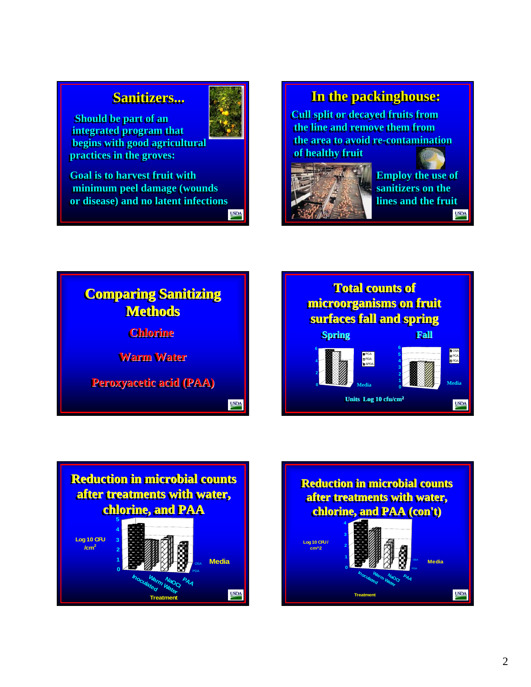## $S$ anitizers...

**Should be part of an Should be part of an integrated program that integrated program that begins with good agricultural begins with good agricultural begins with good agricultural practices in the groves: practices in the groves: practices in the groves:**

**Goal is to harvest fruit with Goal is to harvest fruit with minimum peel damage (wounds minimum peel damage (wounds minimum peel damage (wounds or disease) and no latent infections or disease) and no latent infections or disease) and no latent infections USDA** 



## **In the packinghouse: In the packinghouse: In the packinghouse:**

**Cull split or decayed fruits from Cull split or decayed fruits from the line and remove them from the line and remove them from the area to avoid re-contamination the area to avoid re the area to avoid re-contamination of healthy fruit of healthy fruit of** 



**Employ the use of Employ the use of Employ the use of**  sanitizers on the **lines and the fruit lines and the fruit lines and the fruit USDA** 







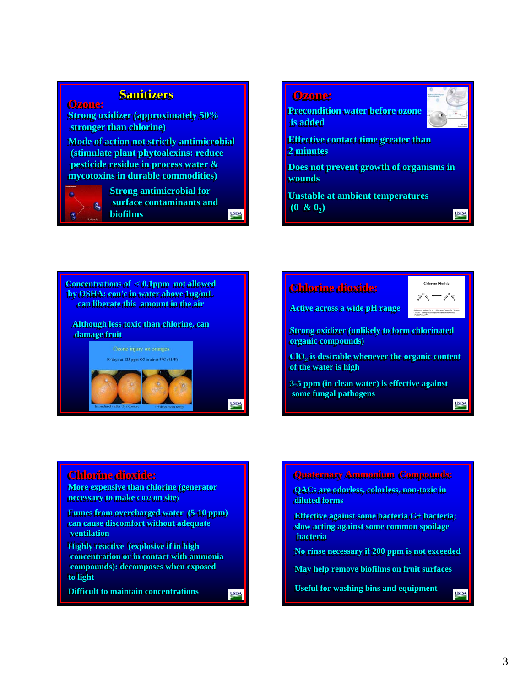## **Sanitizers Sanitizers Sanitizers**

**Strong oxidizer (approximately 50% Strong oxidizer (approximately 50% stronger than chlorine) stronger than chlorine) stronger than chlorine)**

**Mode of action not strictly antimicrobial Mode of action not strictly antimicrobial Mode of action not strictly antimicrobial (stimulate plant phytoalexins: reduce (stimulate plant plant phytoalexins phytoalexins: reduce : pesticide residue in process water & pesticide residue in process water & pesticide residue in process water & mycotoxins in durable commodities) mycotoxins mycotoxins in durable commodities) in durable commodities)**



**Ozone: Ozone:**

**Strong antimicrobial for Strong antimicrobial for for surface contaminants and surface contaminants and surface contaminants and biofilms biofilms biofilms**

**USDA** 

**USDA** 

#### **Ozone: Ozone:**

**Precondition water before ozone is added is added**



**USDA** 

**Effective contact time greater than 2 minutes 2 minutes**

**Does not prevent growth of organisms in wounds wounds**

**Unstable at ambient temperatures Unstable at ambient temperatures Unstable at ambient temperatures**  $(0 \& 0_2)$ 



**Although less toxic than chlorine, can Although less toxic than chlorine, can damage fruit damage fruit damage fruit**







**Strong oxidizer (unlikely to form chlorinated organic compounds) organic compounds) organic compounds)**

 $\mathbf{ClO}_2$  is desirable whenever the organic content **of the water is high of the water is high**

**3-5 ppm (in clean water) is effective against 3-5 ppm (in clean water) is effective against 5 ppm (in clean water) is effective against some fungal pathogens some fungal pathogens some fungal pathogens**

## **USDA**

**USDA** 

#### **Chlorine dioxide: Chlorine dioxide: Chlorine dioxide:**

**More expensive than chlorine (generator necessary to make ClO2 on site) necessary to make ClO2 on site)**

**Fumes from overcharged water (5-10 ppm) Fumes from overcharged water (5-10 ppm) 10 ppm) can cause discomfort without adequate can cause discomfort without adequate ventilation ventilation**

**Highly reactive (explosive if in high Highly reactive (explosive if in high concentration or in contact with ammonia concentration or in contact with ammonia compounds): decomposes when exposed compounds): decomposes when exposed to light** 

**Difficult to maintain concentrations** 

**Quaternary Ammonium Compounds: Quaternary Ammonium Compounds: Quaternary Ammonium** 

**QACs are odorless, colorless, non-toxic in QACs are odorless, colorless, non-toxic in toxic in diluted forms diluted forms forms**

**Effective against some bacteria G+ bacteria; Effective against some bacteria G+ bacteria; Effective against some bacteria G+ bacteria; slow acting against some common spoilage slow acting against some common spoilage bacteria bacteria**

**No rinse necessary if 200 ppm is not exceeded No rinse necessary if 200 ppm is not exceeded**

**May help remove biofilms on fruit surfaces** 

**Useful for washing bins and equipment Useful for washing bins and equipment Useful for washing bins and equipment**